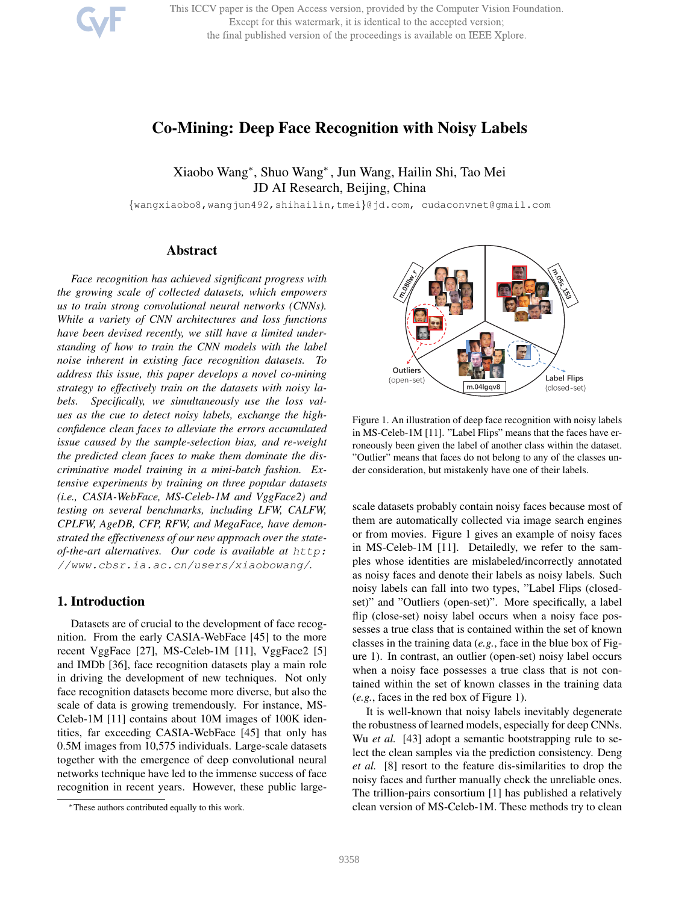This ICCV paper is the Open Access version, provided by the Computer Vision Foundation. Except for this watermark, it is identical to the accepted version; the final published version of the proceedings is available on IEEE Xplore.

# Co-Mining: Deep Face Recognition with Noisy Labels

Xiaobo Wang<sup>∗</sup> , Shuo Wang<sup>∗</sup> , Jun Wang, Hailin Shi, Tao Mei JD AI Research, Beijing, China

{wangxiaobo8,wangjun492,shihailin,tmei}@jd.com, cudaconvnet@gmail.com

## Abstract

*Face recognition has achieved significant progress with the growing scale of collected datasets, which empowers us to train strong convolutional neural networks (CNNs). While a variety of CNN architectures and loss functions have been devised recently, we still have a limited understanding of how to train the CNN models with the label noise inherent in existing face recognition datasets. address this issue, this paper develops a novel co-mining strategy to effectively train on the datasets with noisy labels. Specifically, we simultaneously use the loss values as the cue to detect noisy labels, exchange the highconfidence clean faces to alleviate the errors accumulated issue caused by the sample-selection bias, and re-weight the predicted clean faces to make them dominate the discriminative model training in a mini-batch fashion. Extensive experiments by training on three popular datasets (i.e., CASIA-WebFace, MS-Celeb-1M and VggFace2) and testing on several benchmarks, including LFW, CALFW, CPLFW, AgeDB, CFP, RFW, and MegaFace, have demonstrated the effectiveness of our new approach over the stateof-the-art alternatives. Our code is available at http: //www.cbsr.ia.ac.cn/users/xiaobowang/.*

### 1. Introduction

Datasets are of crucial to the development of face recognition. From the early CASIA-WebFace [45] to the more recent VggFace [27], MS-Celeb-1M [11], VggFace2 [5] and IMDb [36], face recognition datasets play a main role in driving the development of new techniques. Not only face recognition datasets become more diverse, but also the scale of data is growing tremendously. For instance, MS-Celeb-1M [11] contains about 10M images of 100K identities, far exceeding CASIA-WebFace [45] that only has 0.5M images from 10,575 individuals. Large-scale datasets together with the emergence of deep convolutional neural networks technique have led to the immense success of face recognition in recent years. However, these public large-



Figure 1. An illustration of deep face recognition with noisy labels in MS-Celeb-1M [11]. "Label Flips" means that the faces have erroneously been given the label of another class within the dataset. "Outlier" means that faces do not belong to any of the classes under consideration, but mistakenly have one of their labels.

scale datasets probably contain noisy faces because most of them are automatically collected via image search engines or from movies. Figure 1 gives an example of noisy faces in MS-Celeb-1M [11]. Detailedly, we refer to the samples whose identities are mislabeled/incorrectly annotated as noisy faces and denote their labels as noisy labels. Such noisy labels can fall into two types, "Label Flips (closedset)" and "Outliers (open-set)". More specifically, a label flip (close-set) noisy label occurs when a noisy face possesses a true class that is contained within the set of known classes in the training data (*e.g.*, face in the blue box of Figure 1). In contrast, an outlier (open-set) noisy label occurs when a noisy face possesses a true class that is not contained within the set of known classes in the training data (*e.g.*, faces in the red box of Figure 1).

It is well-known that noisy labels inevitably degenerate the robustness of learned models, especially for deep CNNs. Wu *et al.* [43] adopt a semantic bootstrapping rule to select the clean samples via the prediction consistency. Deng *et al.* [8] resort to the feature dis-similarities to drop the noisy faces and further manually check the unreliable ones. The trillion-pairs consortium [1] has published a relatively clean version of MS-Celeb-1M. These methods try to clean

<sup>∗</sup>These authors contributed equally to this work.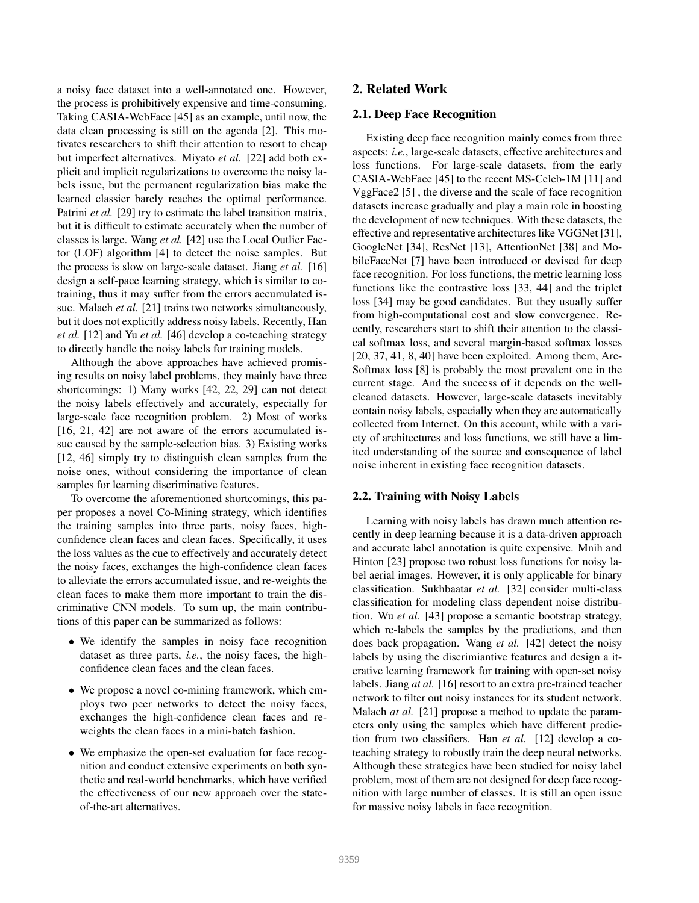a noisy face dataset into a well-annotated one. However, the process is prohibitively expensive and time-consuming. Taking CASIA-WebFace [45] as an example, until now, the data clean processing is still on the agenda [2]. This motivates researchers to shift their attention to resort to cheap but imperfect alternatives. Miyato *et al.* [22] add both explicit and implicit regularizations to overcome the noisy labels issue, but the permanent regularization bias make the learned classier barely reaches the optimal performance. Patrini *et al.* [29] try to estimate the label transition matrix, but it is difficult to estimate accurately when the number of classes is large. Wang *et al.* [42] use the Local Outlier Factor (LOF) algorithm [4] to detect the noise samples. But the process is slow on large-scale dataset. Jiang *et al.* [16] design a self-pace learning strategy, which is similar to cotraining, thus it may suffer from the errors accumulated issue. Malach *et al.* [21] trains two networks simultaneously, but it does not explicitly address noisy labels. Recently, Han *et al.* [12] and Yu *et al.* [46] develop a co-teaching strategy to directly handle the noisy labels for training models.

Although the above approaches have achieved promising results on noisy label problems, they mainly have three shortcomings: 1) Many works [42, 22, 29] can not detect the noisy labels effectively and accurately, especially for large-scale face recognition problem. 2) Most of works [16, 21, 42] are not aware of the errors accumulated issue caused by the sample-selection bias. 3) Existing works [12, 46] simply try to distinguish clean samples from the noise ones, without considering the importance of clean samples for learning discriminative features.

To overcome the aforementioned shortcomings, this paper proposes a novel Co-Mining strategy, which identifies the training samples into three parts, noisy faces, highconfidence clean faces and clean faces. Specifically, it uses the loss values as the cue to effectively and accurately detect the noisy faces, exchanges the high-confidence clean faces to alleviate the errors accumulated issue, and re-weights the clean faces to make them more important to train the discriminative CNN models. To sum up, the main contributions of this paper can be summarized as follows:

- We identify the samples in noisy face recognition dataset as three parts, *i.e.*, the noisy faces, the highconfidence clean faces and the clean faces.
- We propose a novel co-mining framework, which employs two peer networks to detect the noisy faces, exchanges the high-confidence clean faces and reweights the clean faces in a mini-batch fashion.
- We emphasize the open-set evaluation for face recognition and conduct extensive experiments on both synthetic and real-world benchmarks, which have verified the effectiveness of our new approach over the stateof-the-art alternatives.

## 2. Related Work

### 2.1. Deep Face Recognition

Existing deep face recognition mainly comes from three aspects: *i.e.*, large-scale datasets, effective architectures and loss functions. For large-scale datasets, from the early CASIA-WebFace [45] to the recent MS-Celeb-1M [11] and VggFace2 [5] , the diverse and the scale of face recognition datasets increase gradually and play a main role in boosting the development of new techniques. With these datasets, the effective and representative architectures like VGGNet [31], GoogleNet [34], ResNet [13], AttentionNet [38] and MobileFaceNet [7] have been introduced or devised for deep face recognition. For loss functions, the metric learning loss functions like the contrastive loss [33, 44] and the triplet loss [34] may be good candidates. But they usually suffer from high-computational cost and slow convergence. Recently, researchers start to shift their attention to the classical softmax loss, and several margin-based softmax losses [20, 37, 41, 8, 40] have been exploited. Among them, Arc-Softmax loss [8] is probably the most prevalent one in the current stage. And the success of it depends on the wellcleaned datasets. However, large-scale datasets inevitably contain noisy labels, especially when they are automatically collected from Internet. On this account, while with a variety of architectures and loss functions, we still have a limited understanding of the source and consequence of label noise inherent in existing face recognition datasets.

#### 2.2. Training with Noisy Labels

Learning with noisy labels has drawn much attention recently in deep learning because it is a data-driven approach and accurate label annotation is quite expensive. Mnih and Hinton [23] propose two robust loss functions for noisy label aerial images. However, it is only applicable for binary classification. Sukhbaatar *et al.* [32] consider multi-class classification for modeling class dependent noise distribution. Wu *et al.* [43] propose a semantic bootstrap strategy, which re-labels the samples by the predictions, and then does back propagation. Wang *et al.* [42] detect the noisy labels by using the discrimiantive features and design a iterative learning framework for training with open-set noisy labels. Jiang *at al.* [16] resort to an extra pre-trained teacher network to filter out noisy instances for its student network. Malach *at al.* [21] propose a method to update the parameters only using the samples which have different prediction from two classifiers. Han *et al.* [12] develop a coteaching strategy to robustly train the deep neural networks. Although these strategies have been studied for noisy label problem, most of them are not designed for deep face recognition with large number of classes. It is still an open issue for massive noisy labels in face recognition.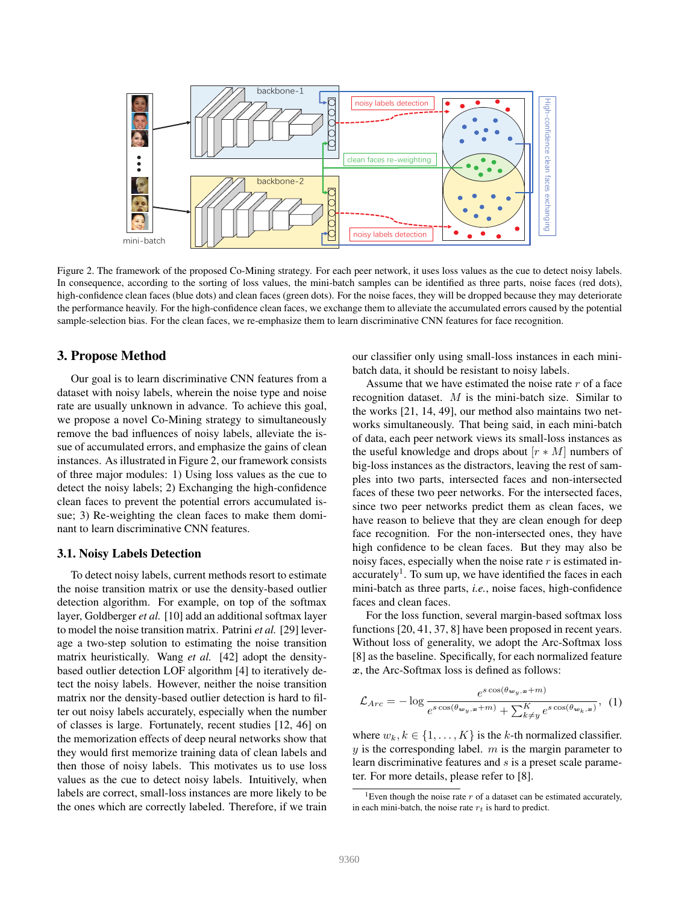

Figure 2. The framework of the proposed Co-Mining strategy. For each peer network, it uses loss values as the cue to detect noisy labels. In consequence, according to the sorting of loss values, the mini-batch samples can be identified as three parts, noise faces (red dots), high-confidence clean faces (blue dots) and clean faces (green dots). For the noise faces, they will be dropped because they may deteriorate the performance heavily. For the high-confidence clean faces, we exchange them to alleviate the accumulated errors caused by the potential sample-selection bias. For the clean faces, we re-emphasize them to learn discriminative CNN features for face recognition.

### 3. Propose Method

Our goal is to learn discriminative CNN features from a dataset with noisy labels, wherein the noise type and noise rate are usually unknown in advance. To achieve this goal, we propose a novel Co-Mining strategy to simultaneously remove the bad influences of noisy labels, alleviate the issue of accumulated errors, and emphasize the gains of clean instances. As illustrated in Figure 2, our framework consists of three major modules: 1) Using loss values as the cue to detect the noisy labels; 2) Exchanging the high-confidence clean faces to prevent the potential errors accumulated issue; 3) Re-weighting the clean faces to make them dominant to learn discriminative CNN features.

#### 3.1. Noisy Labels Detection

To detect noisy labels, current methods resort to estimate the noise transition matrix or use the density-based outlier detection algorithm. For example, on top of the softmax layer, Goldberger *et al.* [10] add an additional softmax layer to model the noise transition matrix. Patrini *et al.* [29] leverage a two-step solution to estimating the noise transition matrix heuristically. Wang *et al.* [42] adopt the densitybased outlier detection LOF algorithm [4] to iteratively detect the noisy labels. However, neither the noise transition matrix nor the density-based outlier detection is hard to filter out noisy labels accurately, especially when the number of classes is large. Fortunately, recent studies [12, 46] on the memorization effects of deep neural networks show that they would first memorize training data of clean labels and then those of noisy labels. This motivates us to use loss values as the cue to detect noisy labels. Intuitively, when labels are correct, small-loss instances are more likely to be the ones which are correctly labeled. Therefore, if we train our classifier only using small-loss instances in each minibatch data, it should be resistant to noisy labels.

Assume that we have estimated the noise rate  $r$  of a face recognition dataset. M is the mini-batch size. Similar to the works [21, 14, 49], our method also maintains two networks simultaneously. That being said, in each mini-batch of data, each peer network views its small-loss instances as the useful knowledge and drops about  $[r * M]$  numbers of big-loss instances as the distractors, leaving the rest of samples into two parts, intersected faces and non-intersected faces of these two peer networks. For the intersected faces, since two peer networks predict them as clean faces, we have reason to believe that they are clean enough for deep face recognition. For the non-intersected ones, they have high confidence to be clean faces. But they may also be noisy faces, especially when the noise rate  $r$  is estimated inaccurately<sup>1</sup>. To sum up, we have identified the faces in each mini-batch as three parts, *i.e.*, noise faces, high-confidence faces and clean faces.

For the loss function, several margin-based softmax loss functions [20, 41, 37, 8] have been proposed in recent years. Without loss of generality, we adopt the Arc-Softmax loss [8] as the baseline. Specifically, for each normalized feature  $x$ , the Arc-Softmax loss is defined as follows:

$$
\mathcal{L}_{Arc} = -\log \frac{e^{s \cos(\theta_{w_y, x} + m)}}{e^{s \cos(\theta_{w_y, x} + m)} + \sum_{k \neq y}^{K} e^{s \cos(\theta_{w_k, x})}}, \tag{1}
$$

where  $w_k, k \in \{1, \ldots, K\}$  is the k-th normalized classifier.  $y$  is the corresponding label.  $m$  is the margin parameter to learn discriminative features and s is a preset scale parameter. For more details, please refer to [8].

<sup>&</sup>lt;sup>1</sup>Even though the noise rate  $r$  of a dataset can be estimated accurately, in each mini-batch, the noise rate  $r_t$  is hard to predict.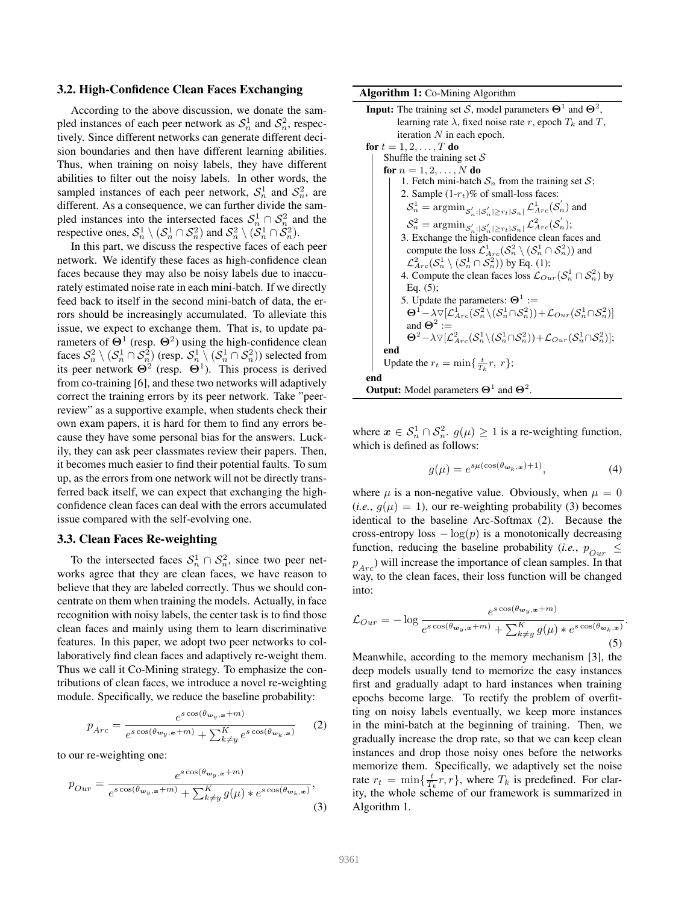### 3.2. High-Confidence Clean Faces Exchanging

According to the above discussion, we donate the sampled instances of each peer network as  $S_n^1$  and  $S_n^2$ , respectively. Since different networks can generate different decision boundaries and then have different learning abilities. Thus, when training on noisy labels, they have different abilities to filter out the noisy labels. In other words, the sampled instances of each peer network,  $S_n^1$  and  $S_n^2$ , are different. As a consequence, we can further divide the sampled instances into the intersected faces  $S_n^1 \cap S_n^2$  and the respective ones,  $\mathcal{S}_n^1 \setminus (\mathcal{S}_n^1 \cap \mathcal{S}_n^2)$  and  $\mathcal{S}_n^2 \setminus (\mathcal{S}_n^1 \cap \mathcal{S}_n^2)$ .

In this part, we discuss the respective faces of each peer network. We identify these faces as high-confidence clean faces because they may also be noisy labels due to inaccurately estimated noise rate in each mini-batch. If we directly feed back to itself in the second mini-batch of data, the errors should be increasingly accumulated. To alleviate this issue, we expect to exchange them. That is, to update parameters of  $\Theta^1$  (resp.  $\Theta^2$ ) using the high-confidence clean faces  $\mathcal{S}_n^2 \setminus (\mathcal{S}_n^1 \cap \mathcal{S}_n^2)$  (resp.  $\mathcal{S}_n^1 \setminus (\mathcal{S}_n^1 \cap \mathcal{S}_n^2)$ ) selected from its peer network  $\Theta^2$  (resp.  $\Theta^1$ ). This process is derived from co-training [6], and these two networks will adaptively correct the training errors by its peer network. Take "peerreview" as a supportive example, when students check their own exam papers, it is hard for them to find any errors because they have some personal bias for the answers. Luckily, they can ask peer classmates review their papers. Then, it becomes much easier to find their potential faults. To sum up, as the errors from one network will not be directly transferred back itself, we can expect that exchanging the highconfidence clean faces can deal with the errors accumulated issue compared with the self-evolving one.

### 3.3. Clean Faces Re-weighting

To the intersected faces  $S_n^1 \cap S_n^2$ , since two peer networks agree that they are clean faces, we have reason to believe that they are labeled correctly. Thus we should concentrate on them when training the models. Actually, in face recognition with noisy labels, the center task is to find those clean faces and mainly using them to learn discriminative features. In this paper, we adopt two peer networks to collaboratively find clean faces and adaptively re-weight them. Thus we call it Co-Mining strategy. To emphasize the contributions of clean faces, we introduce a novel re-weighting module. Specifically, we reduce the baseline probability:

$$
p_{Arc} = \frac{e^{s \cos(\theta_{\mathbf{w}_y,\mathbf{x}} + m)}}{e^{s \cos(\theta_{\mathbf{w}_y,\mathbf{x}} + m)} + \sum_{k \neq y}^{K} e^{s \cos(\theta_{\mathbf{w}_k,\mathbf{x}})}} \tag{2}
$$

to our re-weighting one:

$$
p_{Our} = \frac{e^{s \cos(\theta_{\mathbf{w}_y, \mathbf{x}} + m)}}{e^{s \cos(\theta_{\mathbf{w}_y, \mathbf{x}} + m)} + \sum_{k \neq y}^{K} g(\mu) * e^{s \cos(\theta_{\mathbf{w}_k, \mathbf{x}})}},
$$
\n(3)

Algorithm 1: Co-Mining Algorithm

```
Input: The training set S, model parameters \Theta^1 and \Theta^2,
             learning rate \lambda, fixed noise rate r, epoch T_k and T,
             iteration N in each epoch.
for t = 1, 2, \ldots, T do
       Shuffle the training set Sfor n = 1, 2, ..., N do
               1. Fetch mini-batch S_n from the training set S;
               2. Sample (1-r_t)\% of small-loss faces:
                  S_n^1 = \operatorname{argmin}_{S'_n : |S'_n| \ge r_t |S_n|} \mathcal{L}_{Arc}^1(S'_n) and
                  \mathcal{S}_n^2 = \mathop{\rm argmin}_{\mathcal{S}_n':|\mathcal{S}_n'| \geq r_t |\mathcal{S}_n|} \mathcal{L}^2_{Arc}(\mathcal{S}_n'),3. Exchange the high-confidence clean faces and
                  compute the loss \mathcal{L}_{Arc}^1(\mathcal{S}_n^2 \setminus (\mathcal{S}_n^1 \cap \mathcal{S}_n^2)) and
                  \mathcal{L}_{Arc}^2(\mathcal{S}_n^1 \setminus (\mathcal{S}_n^1 \cap \mathcal{S}_n^2)) by Eq. (1);
               4. Compute the clean faces loss \mathcal{L}_{Our}(\mathcal{S}_n^1 \cap \mathcal{S}_n^2) by
                 Eq. (5);
               5. Update the parameters: \Theta^1 :=
                  \Theta^1 - \lambda \triangledown [\mathcal{L}_{Arc}^1(\mathcal{S}_n^2 \setminus (\mathcal{S}_n^1 \cap \mathcal{S}_n^2)) + \mathcal{L}_{Our}(\mathcal{S}_n^1 \cap \mathcal{S}_n^2)]and \Theta^2 :=\Theta^2 - \lambda \triangledown \left[ \mathcal{L}_{Arc}^2(\mathcal{S}_n^1 \backslash (\mathcal{S}_n^1 \cap \mathcal{S}_n^2)) + \mathcal{L}_{Our}(\mathcal{S}_n^1 \cap \mathcal{S}_n^2) \right];end
        Update the r_t = \min\{\frac{t}{T_k}r, r\};end
Output: Model parameters \Theta^1 and \Theta^2.
```
where  $x \in S_n^1 \cap S_n^2$ .  $g(\mu) \ge 1$  is a re-weighting function, which is defined as follows:

$$
g(\mu) = e^{s\mu(\cos(\theta_{\mathbf{w}_k,\mathbf{x}})+1)},\tag{4}
$$

.

where  $\mu$  is a non-negative value. Obviously, when  $\mu = 0$  $(i.e., g(\mu) = 1)$ , our re-weighting probability (3) becomes identical to the baseline Arc-Softmax (2). Because the cross-entropy loss  $-\log(p)$  is a monotonically decreasing function, reducing the baseline probability (*i.e.*,  $p_{Our} \leq$  $p_{Arc}$ ) will increase the importance of clean samples. In that way, to the clean faces, their loss function will be changed into:

$$
\mathcal{L}_{Our} = -\log \frac{e^{s \cos(\theta_{w_y, x} + m)}}{e^{s \cos(\theta_{w_y, x} + m)} + \sum_{k \neq y}^{K} g(\mu) * e^{s \cos(\theta_{w_k, x})}}
$$
(5)

Meanwhile, according to the memory mechanism [3], the deep models usually tend to memorize the easy instances first and gradually adapt to hard instances when training epochs become large. To rectify the problem of overfitting on noisy labels eventually, we keep more instances in the mini-batch at the beginning of training. Then, we gradually increase the drop rate, so that we can keep clean instances and drop those noisy ones before the networks memorize them. Specifically, we adaptively set the noise rate  $r_t = \min\{\frac{t}{T_k}r, r\}$ , where  $T_k$  is predefined. For clarity, the whole scheme of our framework is summarized in Algorithm 1.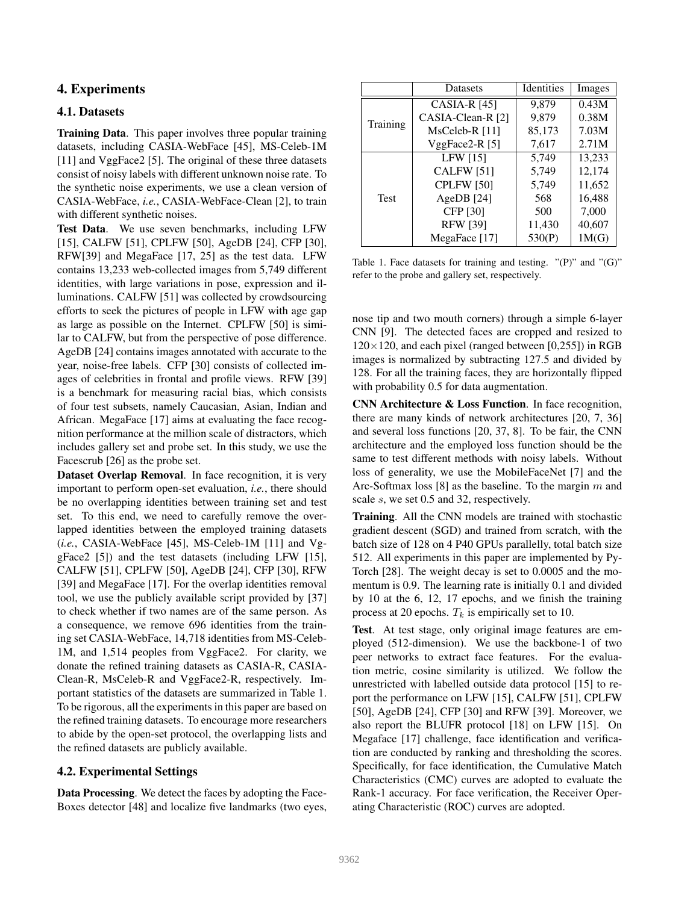# 4. Experiments

## 4.1. Datasets

Training Data. This paper involves three popular training datasets, including CASIA-WebFace [45], MS-Celeb-1M [11] and VggFace2 [5]. The original of these three datasets consist of noisy labels with different unknown noise rate. To the synthetic noise experiments, we use a clean version of CASIA-WebFace, *i.e.*, CASIA-WebFace-Clean [2], to train with different synthetic noises.

Test Data. We use seven benchmarks, including LFW [15], CALFW [51], CPLFW [50], AgeDB [24], CFP [30], RFW[39] and MegaFace [17, 25] as the test data. LFW contains 13,233 web-collected images from 5,749 different identities, with large variations in pose, expression and illuminations. CALFW [51] was collected by crowdsourcing efforts to seek the pictures of people in LFW with age gap as large as possible on the Internet. CPLFW [50] is similar to CALFW, but from the perspective of pose difference. AgeDB [24] contains images annotated with accurate to the year, noise-free labels. CFP [30] consists of collected images of celebrities in frontal and profile views. RFW [39] is a benchmark for measuring racial bias, which consists of four test subsets, namely Caucasian, Asian, Indian and African. MegaFace [17] aims at evaluating the face recognition performance at the million scale of distractors, which includes gallery set and probe set. In this study, we use the Facescrub [26] as the probe set.

Dataset Overlap Removal. In face recognition, it is very important to perform open-set evaluation, *i.e.*, there should be no overlapping identities between training set and test set. To this end, we need to carefully remove the overlapped identities between the employed training datasets (*i.e.*, CASIA-WebFace [45], MS-Celeb-1M [11] and VggFace2 [5]) and the test datasets (including LFW [15], CALFW [51], CPLFW [50], AgeDB [24], CFP [30], RFW [39] and MegaFace [17]. For the overlap identities removal tool, we use the publicly available script provided by [37] to check whether if two names are of the same person. As a consequence, we remove 696 identities from the training set CASIA-WebFace, 14,718 identities from MS-Celeb-1M, and 1,514 peoples from VggFace2. For clarity, we donate the refined training datasets as CASIA-R, CASIA-Clean-R, MsCeleb-R and VggFace2-R, respectively. Important statistics of the datasets are summarized in Table 1. To be rigorous, all the experiments in this paper are based on the refined training datasets. To encourage more researchers to abide by the open-set protocol, the overlapping lists and the refined datasets are publicly available.

# 4.2. Experimental Settings

Data Processing. We detect the faces by adopting the Face-Boxes detector [48] and localize five landmarks (two eyes,

|             | <b>Datasets</b>   | Identities | Images |
|-------------|-------------------|------------|--------|
|             | CASIA-R $[45]$    | 9,879      | 0.43M  |
| Training    | CASIA-Clean-R [2] | 9,879      | 0.38M  |
|             | MsCeleb-R [11]    | 85,173     | 7.03M  |
|             | VggFace2-R [5]    | 7,617      | 2.71M  |
|             | LFW [15]          | 5,749      | 13,233 |
| <b>Test</b> | <b>CALFW</b> [51] | 5,749      | 12,174 |
|             | CPLFW [50]        | 5,749      | 11,652 |
|             | AgeDB $[24]$      | 568        | 16,488 |
|             | CFP [30]          | 500        | 7,000  |
|             | <b>RFW [39]</b>   | 11,430     | 40,607 |
|             | MegaFace [17]     | 530(P)     | 1M(G)  |

Table 1. Face datasets for training and testing.  $"({\rm P})"$  and  $"({\rm G})"$ refer to the probe and gallery set, respectively.

nose tip and two mouth corners) through a simple 6-layer CNN [9]. The detected faces are cropped and resized to  $120\times120$ , and each pixel (ranged between [0,255]) in RGB images is normalized by subtracting 127.5 and divided by 128. For all the training faces, they are horizontally flipped with probability 0.5 for data augmentation.

CNN Architecture & Loss Function. In face recognition, there are many kinds of network architectures [20, 7, 36] and several loss functions [20, 37, 8]. To be fair, the CNN architecture and the employed loss function should be the same to test different methods with noisy labels. Without loss of generality, we use the MobileFaceNet [7] and the Arc-Softmax loss [8] as the baseline. To the margin  $m$  and scale s, we set 0.5 and 32, respectively.

Training. All the CNN models are trained with stochastic gradient descent (SGD) and trained from scratch, with the batch size of 128 on 4 P40 GPUs parallelly, total batch size 512. All experiments in this paper are implemented by Py-Torch [28]. The weight decay is set to 0.0005 and the momentum is 0.9. The learning rate is initially 0.1 and divided by 10 at the 6, 12, 17 epochs, and we finish the training process at 20 epochs.  $T_k$  is empirically set to 10.

Test. At test stage, only original image features are employed (512-dimension). We use the backbone-1 of two peer networks to extract face features. For the evaluation metric, cosine similarity is utilized. We follow the unrestricted with labelled outside data protocol [15] to report the performance on LFW [15], CALFW [51], CPLFW [50], AgeDB [24], CFP [30] and RFW [39]. Moreover, we also report the BLUFR protocol [18] on LFW [15]. On Megaface [17] challenge, face identification and verification are conducted by ranking and thresholding the scores. Specifically, for face identification, the Cumulative Match Characteristics (CMC) curves are adopted to evaluate the Rank-1 accuracy. For face verification, the Receiver Operating Characteristic (ROC) curves are adopted.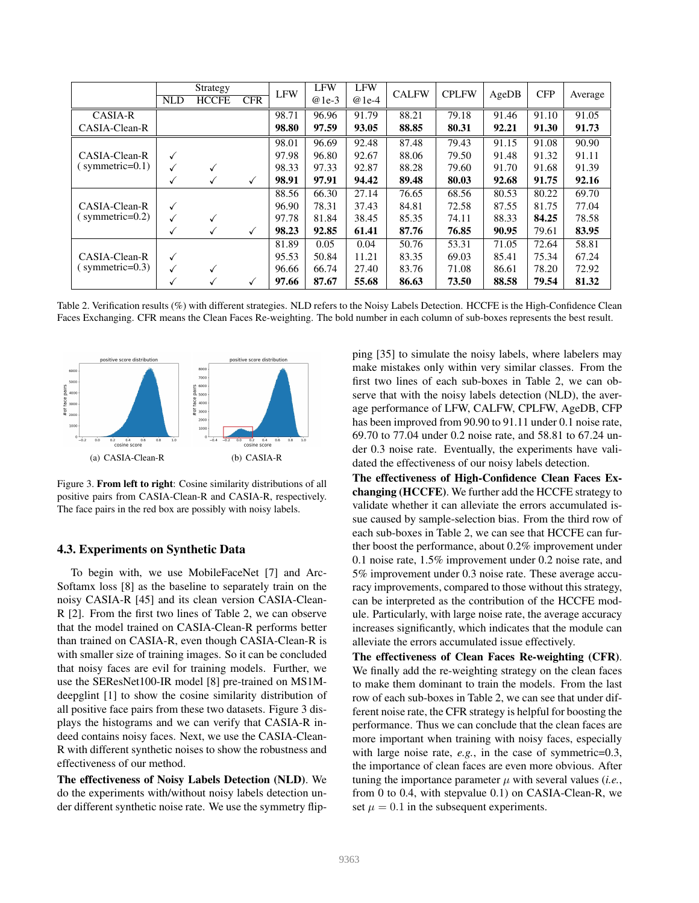|                    | <b>NLD</b>   | Strategy<br><b>HCCFE</b> | <b>CFR</b> | <b>LFW</b> | <b>LFW</b><br>$@1e-3$ | <b>LFW</b><br>$@1e-4$ | <b>CALFW</b> | <b>CPLFW</b> | AgeDB | <b>CFP</b> | Average |
|--------------------|--------------|--------------------------|------------|------------|-----------------------|-----------------------|--------------|--------------|-------|------------|---------|
| <b>CASIA-R</b>     |              |                          |            | 98.71      | 96.96                 | 91.79                 | 88.21        | 79.18        | 91.46 | 91.10      | 91.05   |
| CASIA-Clean-R      |              |                          |            | 98.80      | 97.59                 | 93.05                 | 88.85        | 80.31        | 92.21 | 91.30      | 91.73   |
|                    |              |                          |            | 98.01      | 96.69                 | 92.48                 | 87.48        | 79.43        | 91.15 | 91.08      | 90.90   |
| CASIA-Clean-R      | ✓            |                          |            | 97.98      | 96.80                 | 92.67                 | 88.06        | 79.50        | 91.48 | 91.32      | 91.11   |
| symmetric= $0.1$ ) | ✓            |                          |            | 98.33      | 97.33                 | 92.87                 | 88.28        | 79.60        | 91.70 | 91.68      | 91.39   |
|                    | √            |                          | ✓          | 98.91      | 97.91                 | 94.42                 | 89.48        | 80.03        | 92.68 | 91.75      | 92.16   |
|                    |              |                          |            | 88.56      | 66.30                 | 27.14                 | 76.65        | 68.56        | 80.53 | 80.22      | 69.70   |
| CASIA-Clean-R      | ✓            |                          |            | 96.90      | 78.31                 | 37.43                 | 84.81        | 72.58        | 87.55 | 81.75      | 77.04   |
| symmetric= $0.2$ ) | ✓            |                          |            | 97.78      | 81.84                 | 38.45                 | 85.35        | 74.11        | 88.33 | 84.25      | 78.58   |
|                    | √            |                          | ✓          | 98.23      | 92.85                 | 61.41                 | 87.76        | 76.85        | 90.95 | 79.61      | 83.95   |
|                    |              |                          |            | 81.89      | 0.05                  | 0.04                  | 50.76        | 53.31        | 71.05 | 72.64      | 58.81   |
| CASIA-Clean-R      | ✓            |                          |            | 95.53      | 50.84                 | 11.21                 | 83.35        | 69.03        | 85.41 | 75.34      | 67.24   |
| symmetric= $0.3$ ) | $\checkmark$ |                          |            | 96.66      | 66.74                 | 27.40                 | 83.76        | 71.08        | 86.61 | 78.20      | 72.92   |
|                    | ✓            |                          | ✓          | 97.66      | 87.67                 | 55.68                 | 86.63        | 73.50        | 88.58 | 79.54      | 81.32   |

Table 2. Verification results (%) with different strategies. NLD refers to the Noisy Labels Detection. HCCFE is the High-Confidence Clean Faces Exchanging. CFR means the Clean Faces Re-weighting. The bold number in each column of sub-boxes represents the best result.



Figure 3. From left to right: Cosine similarity distributions of all positive pairs from CASIA-Clean-R and CASIA-R, respectively. The face pairs in the red box are possibly with noisy labels.

### 4.3. Experiments on Synthetic Data

To begin with, we use MobileFaceNet [7] and Arc-Softamx loss [8] as the baseline to separately train on the noisy CASIA-R [45] and its clean version CASIA-Clean-R [2]. From the first two lines of Table 2, we can observe that the model trained on CASIA-Clean-R performs better than trained on CASIA-R, even though CASIA-Clean-R is with smaller size of training images. So it can be concluded that noisy faces are evil for training models. Further, we use the SEResNet100-IR model [8] pre-trained on MS1Mdeepglint [1] to show the cosine similarity distribution of all positive face pairs from these two datasets. Figure 3 displays the histograms and we can verify that CASIA-R indeed contains noisy faces. Next, we use the CASIA-Clean-R with different synthetic noises to show the robustness and effectiveness of our method.

The effectiveness of Noisy Labels Detection (NLD). We do the experiments with/without noisy labels detection under different synthetic noise rate. We use the symmetry flipping [35] to simulate the noisy labels, where labelers may make mistakes only within very similar classes. From the first two lines of each sub-boxes in Table 2, we can observe that with the noisy labels detection (NLD), the average performance of LFW, CALFW, CPLFW, AgeDB, CFP has been improved from 90.90 to 91.11 under 0.1 noise rate, 69.70 to 77.04 under 0.2 noise rate, and 58.81 to 67.24 under 0.3 noise rate. Eventually, the experiments have validated the effectiveness of our noisy labels detection.

The effectiveness of High-Confidence Clean Faces Exchanging (HCCFE). We further add the HCCFE strategy to validate whether it can alleviate the errors accumulated issue caused by sample-selection bias. From the third row of each sub-boxes in Table 2, we can see that HCCFE can further boost the performance, about 0.2% improvement under 0.1 noise rate, 1.5% improvement under 0.2 noise rate, and 5% improvement under 0.3 noise rate. These average accuracy improvements, compared to those without this strategy, can be interpreted as the contribution of the HCCFE module. Particularly, with large noise rate, the average accuracy increases significantly, which indicates that the module can alleviate the errors accumulated issue effectively.

The effectiveness of Clean Faces Re-weighting (CFR). We finally add the re-weighting strategy on the clean faces to make them dominant to train the models. From the last row of each sub-boxes in Table 2, we can see that under different noise rate, the CFR strategy is helpful for boosting the performance. Thus we can conclude that the clean faces are more important when training with noisy faces, especially with large noise rate, *e.g.*, in the case of symmetric=0.3, the importance of clean faces are even more obvious. After tuning the importance parameter  $\mu$  with several values *(i.e.*, from 0 to 0.4, with stepvalue 0.1) on CASIA-Clean-R, we set  $\mu = 0.1$  in the subsequent experiments.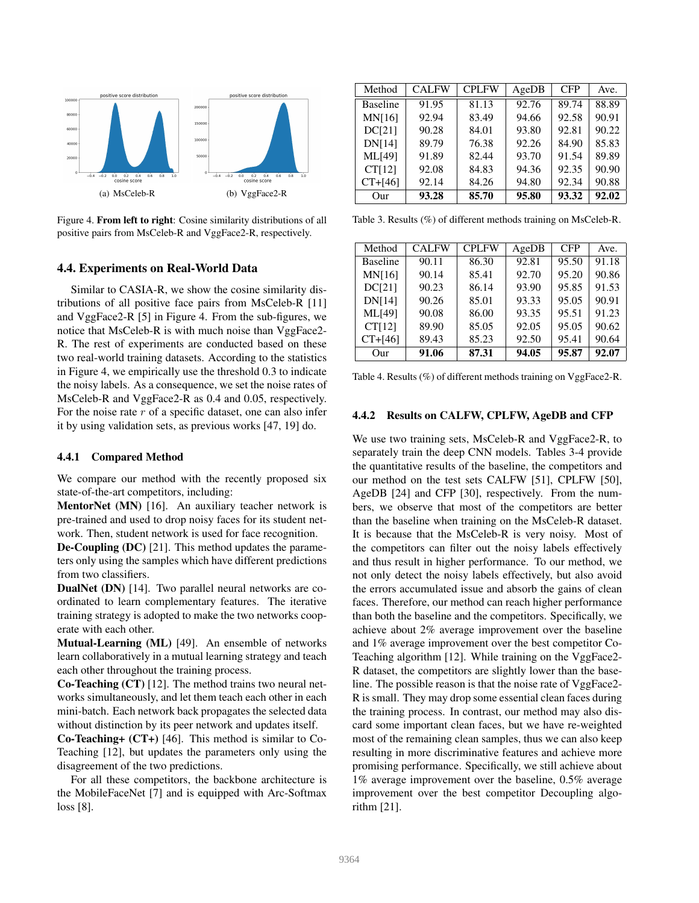

Figure 4. From left to right: Cosine similarity distributions of all positive pairs from MsCeleb-R and VggFace2-R, respectively.

### 4.4. Experiments on Real-World Data

Similar to CASIA-R, we show the cosine similarity distributions of all positive face pairs from MsCeleb-R [11] and VggFace2-R [5] in Figure 4. From the sub-figures, we notice that MsCeleb-R is with much noise than VggFace2- R. The rest of experiments are conducted based on these two real-world training datasets. According to the statistics in Figure 4, we empirically use the threshold 0.3 to indicate the noisy labels. As a consequence, we set the noise rates of MsCeleb-R and VggFace2-R as 0.4 and 0.05, respectively. For the noise rate  $r$  of a specific dataset, one can also infer it by using validation sets, as previous works [47, 19] do.

### 4.4.1 Compared Method

We compare our method with the recently proposed six state-of-the-art competitors, including:

MentorNet (MN) [16]. An auxiliary teacher network is pre-trained and used to drop noisy faces for its student network. Then, student network is used for face recognition.

De-Coupling (DC) [21]. This method updates the parameters only using the samples which have different predictions from two classifiers.

DualNet (DN) [14]. Two parallel neural networks are coordinated to learn complementary features. The iterative training strategy is adopted to make the two networks cooperate with each other.

Mutual-Learning (ML) [49]. An ensemble of networks learn collaboratively in a mutual learning strategy and teach each other throughout the training process.

Co-Teaching (CT) [12]. The method trains two neural networks simultaneously, and let them teach each other in each mini-batch. Each network back propagates the selected data without distinction by its peer network and updates itself.

Co-Teaching+ (CT+) [46]. This method is similar to Co-Teaching [12], but updates the parameters only using the disagreement of the two predictions.

For all these competitors, the backbone architecture is the MobileFaceNet [7] and is equipped with Arc-Softmax loss [8].

| Method          | <b>CALFW</b> | <b>CPLFW</b> | AgeDB | <b>CFP</b> | Ave.  |
|-----------------|--------------|--------------|-------|------------|-------|
| <b>Baseline</b> | 91.95        | 81.13        | 92.76 | 89.74      | 88.89 |
| MN[16]          | 92.94        | 83.49        | 94.66 | 92.58      | 90.91 |
| <b>DC[21]</b>   | 90.28        | 84.01        | 93.80 | 92.81      | 90.22 |
| <b>DNI141</b>   | 89.79        | 76.38        | 92.26 | 84.90      | 85.83 |
| <b>ML[49]</b>   | 91.89        | 82.44        | 93.70 | 91.54      | 89.89 |
| CT[12]          | 92.08        | 84.83        | 94.36 | 92.35      | 90.90 |
| $CT + [46]$     | 92.14        | 84.26        | 94.80 | 92.34      | 90.88 |
| Our             | 93.28        | 85.70        | 95.80 | 93.32      | 92.02 |

Table 3. Results (%) of different methods training on MsCeleb-R.

| Method          | <b>CALFW</b> | <b>CPLFW</b> | AgeDB | <b>CFP</b> | Ave.  |
|-----------------|--------------|--------------|-------|------------|-------|
| <b>Baseline</b> | 90.11        | 86.30        | 92.81 | 95.50      | 91.18 |
| <b>MN[16]</b>   | 90.14        | 85.41        | 92.70 | 95.20      | 90.86 |
| <b>DC[21]</b>   | 90.23        | 86.14        | 93.90 | 95.85      | 91.53 |
| <b>DN[14]</b>   | 90.26        | 85.01        | 93.33 | 95.05      | 90.91 |
| <b>ML[49]</b>   | 90.08        | 86.00        | 93.35 | 95.51      | 91.23 |
| CT[12]          | 89.90        | 85.05        | 92.05 | 95.05      | 90.62 |
| $CT+[46]$       | 89.43        | 85.23        | 92.50 | 95.41      | 90.64 |
| Our             | 91.06        | 87.31        | 94.05 | 95.87      | 92.07 |

Table 4. Results (%) of different methods training on VggFace2-R.

#### 4.4.2 Results on CALFW, CPLFW, AgeDB and CFP

We use two training sets, MsCeleb-R and VggFace2-R, to separately train the deep CNN models. Tables 3-4 provide the quantitative results of the baseline, the competitors and our method on the test sets CALFW [51], CPLFW [50], AgeDB [24] and CFP [30], respectively. From the numbers, we observe that most of the competitors are better than the baseline when training on the MsCeleb-R dataset. It is because that the MsCeleb-R is very noisy. Most of the competitors can filter out the noisy labels effectively and thus result in higher performance. To our method, we not only detect the noisy labels effectively, but also avoid the errors accumulated issue and absorb the gains of clean faces. Therefore, our method can reach higher performance than both the baseline and the competitors. Specifically, we achieve about 2% average improvement over the baseline and 1% average improvement over the best competitor Co-Teaching algorithm [12]. While training on the VggFace2- R dataset, the competitors are slightly lower than the baseline. The possible reason is that the noise rate of VggFace2- R is small. They may drop some essential clean faces during the training process. In contrast, our method may also discard some important clean faces, but we have re-weighted most of the remaining clean samples, thus we can also keep resulting in more discriminative features and achieve more promising performance. Specifically, we still achieve about 1% average improvement over the baseline, 0.5% average improvement over the best competitor Decoupling algorithm [21].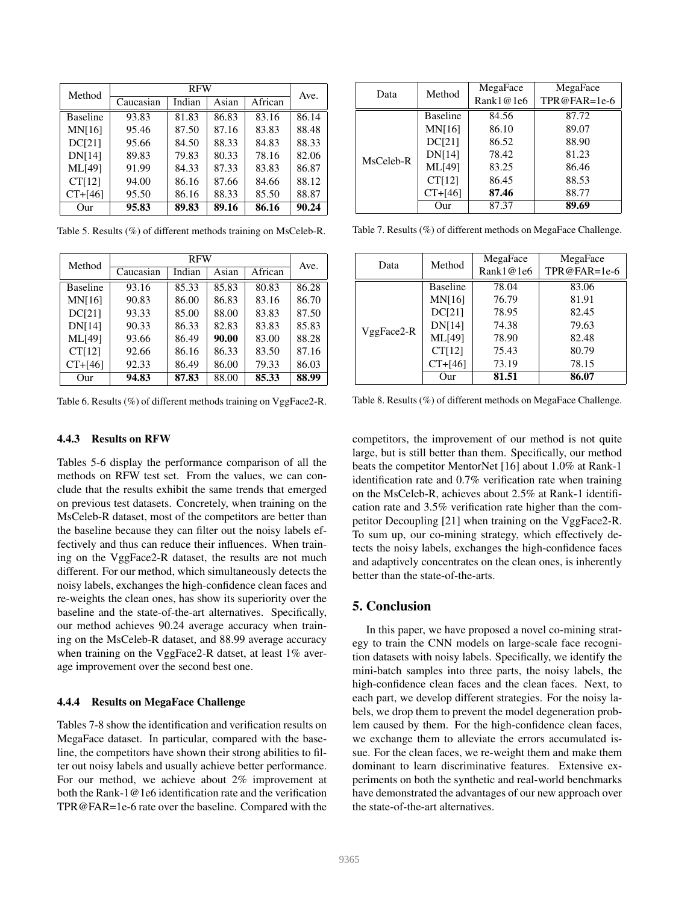| Method          |           | Ave.   |       |         |       |
|-----------------|-----------|--------|-------|---------|-------|
|                 | Caucasian | Indian | Asian | African |       |
| <b>Baseline</b> | 93.83     | 81.83  | 86.83 | 83.16   | 86.14 |
| <b>MN[16]</b>   | 95.46     | 87.50  | 87.16 | 83.83   | 88.48 |
| <b>DC[21]</b>   | 95.66     | 84.50  | 88.33 | 84.83   | 88.33 |
| <b>DN[14]</b>   | 89.83     | 79.83  | 80.33 | 78.16   | 82.06 |
| <b>ML[49]</b>   | 91.99     | 84.33  | 87.33 | 83.83   | 86.87 |
| CT[12]          | 94.00     | 86.16  | 87.66 | 84.66   | 88.12 |
| $CT + [46]$     | 95.50     | 86.16  | 88.33 | 85.50   | 88.87 |
| Our             | 95.83     | 89.83  | 89.16 | 86.16   | 90.24 |

Table 5. Results (%) of different methods training on MsCeleb-R.

| Method          |           | Ave.   |       |         |       |
|-----------------|-----------|--------|-------|---------|-------|
|                 | Caucasian | Indian | Asian | African |       |
| <b>Baseline</b> | 93.16     | 85.33  | 85.83 | 80.83   | 86.28 |
| <b>MN[16]</b>   | 90.83     | 86.00  | 86.83 | 83.16   | 86.70 |
| <b>DC[21]</b>   | 93.33     | 85.00  | 88.00 | 83.83   | 87.50 |
| <b>DN[14]</b>   | 90.33     | 86.33  | 82.83 | 83.83   | 85.83 |
| <b>ML[49]</b>   | 93.66     | 86.49  | 90.00 | 83.00   | 88.28 |
| CT[12]          | 92.66     | 86.16  | 86.33 | 83.50   | 87.16 |
| $CT + [46]$     | 92.33     | 86.49  | 86.00 | 79.33   | 86.03 |
| Our             | 94.83     | 87.83  | 88.00 | 85.33   | 88.99 |

Table 6. Results (%) of different methods training on VggFace2-R.

### 4.4.3 Results on RFW

Tables 5-6 display the performance comparison of all the methods on RFW test set. From the values, we can conclude that the results exhibit the same trends that emerged on previous test datasets. Concretely, when training on the MsCeleb-R dataset, most of the competitors are better than the baseline because they can filter out the noisy labels effectively and thus can reduce their influences. When training on the VggFace2-R dataset, the results are not much different. For our method, which simultaneously detects the noisy labels, exchanges the high-confidence clean faces and re-weights the clean ones, has show its superiority over the baseline and the state-of-the-art alternatives. Specifically, our method achieves 90.24 average accuracy when training on the MsCeleb-R dataset, and 88.99 average accuracy when training on the VggFace2-R datset, at least 1% average improvement over the second best one.

### 4.4.4 Results on MegaFace Challenge

Tables 7-8 show the identification and verification results on MegaFace dataset. In particular, compared with the baseline, the competitors have shown their strong abilities to filter out noisy labels and usually achieve better performance. For our method, we achieve about 2% improvement at both the Rank-1@1e6 identification rate and the verification TPR@FAR=1e-6 rate over the baseline. Compared with the

| Data      | Method          | MegaFace  | MegaFace     |
|-----------|-----------------|-----------|--------------|
|           |                 | Rank1@1e6 | TPR@FAR=1e-6 |
|           | <b>Baseline</b> | 84.56     | 87.72        |
|           | <b>MN[16]</b>   | 86.10     | 89.07        |
|           | <b>DC[21]</b>   | 86.52     | 88.90        |
| MsCeleb-R | <b>DN[14]</b>   | 78.42     | 81.23        |
|           | ML[49]          | 83.25     | 86.46        |
|           | CT[12]          | 86.45     | 88.53        |
|           | $CT + [46]$     | 87.46     | 88.77        |
|           | Our             | 87.37     | 89.69        |

Table 7. Results (%) of different methods on MegaFace Challenge.

| Data         | Method          | MegaFace<br>Rank1@1e6 | MegaFace<br>TPR@FAR=1e-6 |
|--------------|-----------------|-----------------------|--------------------------|
|              | <b>Baseline</b> | 78.04                 | 83.06                    |
|              | <b>MN[16]</b>   | 76.79                 | 81.91                    |
|              | DC[21]          | 78.95                 | 82.45                    |
|              | <b>DN[14]</b>   | 74.38                 | 79.63                    |
| $VggFace2-R$ | <b>ML[49]</b>   | 78.90                 | 82.48                    |
|              | CT[12]          | 75.43                 | 80.79                    |
|              | $CT + [46]$     | 73.19                 | 78.15                    |
|              | Our             | 81.51                 | 86.07                    |

Table 8. Results (%) of different methods on MegaFace Challenge.

competitors, the improvement of our method is not quite large, but is still better than them. Specifically, our method beats the competitor MentorNet [16] about 1.0% at Rank-1 identification rate and 0.7% verification rate when training on the MsCeleb-R, achieves about 2.5% at Rank-1 identification rate and 3.5% verification rate higher than the competitor Decoupling [21] when training on the VggFace2-R. To sum up, our co-mining strategy, which effectively detects the noisy labels, exchanges the high-confidence faces and adaptively concentrates on the clean ones, is inherently better than the state-of-the-arts.

# 5. Conclusion

In this paper, we have proposed a novel co-mining strategy to train the CNN models on large-scale face recognition datasets with noisy labels. Specifically, we identify the mini-batch samples into three parts, the noisy labels, the high-confidence clean faces and the clean faces. Next, to each part, we develop different strategies. For the noisy labels, we drop them to prevent the model degeneration problem caused by them. For the high-confidence clean faces, we exchange them to alleviate the errors accumulated issue. For the clean faces, we re-weight them and make them dominant to learn discriminative features. Extensive experiments on both the synthetic and real-world benchmarks have demonstrated the advantages of our new approach over the state-of-the-art alternatives.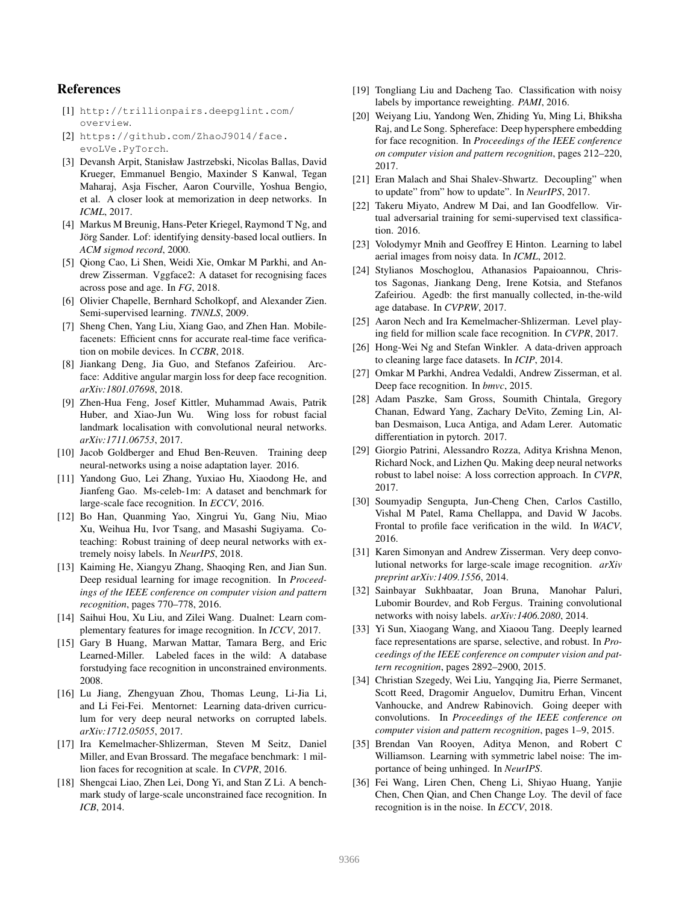### References

- [1] http://trillionpairs.deepglint.com/ overview.
- [2] https://github.com/ZhaoJ9014/face. evoLVe.PyTorch.
- [3] Devansh Arpit, Stanisław Jastrzebski, Nicolas Ballas, David Krueger, Emmanuel Bengio, Maxinder S Kanwal, Tegan Maharaj, Asja Fischer, Aaron Courville, Yoshua Bengio, et al. A closer look at memorization in deep networks. In *ICML*, 2017.
- [4] Markus M Breunig, Hans-Peter Kriegel, Raymond T Ng, and Jörg Sander. Lof: identifying density-based local outliers. In *ACM sigmod record*, 2000.
- [5] Qiong Cao, Li Shen, Weidi Xie, Omkar M Parkhi, and Andrew Zisserman. Vggface2: A dataset for recognising faces across pose and age. In *FG*, 2018.
- [6] Olivier Chapelle, Bernhard Scholkopf, and Alexander Zien. Semi-supervised learning. *TNNLS*, 2009.
- [7] Sheng Chen, Yang Liu, Xiang Gao, and Zhen Han. Mobilefacenets: Efficient cnns for accurate real-time face verification on mobile devices. In *CCBR*, 2018.
- [8] Jiankang Deng, Jia Guo, and Stefanos Zafeiriou. Arcface: Additive angular margin loss for deep face recognition. *arXiv:1801.07698*, 2018.
- [9] Zhen-Hua Feng, Josef Kittler, Muhammad Awais, Patrik Huber, and Xiao-Jun Wu. Wing loss for robust facial landmark localisation with convolutional neural networks. *arXiv:1711.06753*, 2017.
- [10] Jacob Goldberger and Ehud Ben-Reuven. Training deep neural-networks using a noise adaptation layer. 2016.
- [11] Yandong Guo, Lei Zhang, Yuxiao Hu, Xiaodong He, and Jianfeng Gao. Ms-celeb-1m: A dataset and benchmark for large-scale face recognition. In *ECCV*, 2016.
- [12] Bo Han, Quanming Yao, Xingrui Yu, Gang Niu, Miao Xu, Weihua Hu, Ivor Tsang, and Masashi Sugiyama. Coteaching: Robust training of deep neural networks with extremely noisy labels. In *NeurIPS*, 2018.
- [13] Kaiming He, Xiangyu Zhang, Shaoqing Ren, and Jian Sun. Deep residual learning for image recognition. In *Proceedings of the IEEE conference on computer vision and pattern recognition*, pages 770–778, 2016.
- [14] Saihui Hou, Xu Liu, and Zilei Wang. Dualnet: Learn complementary features for image recognition. In *ICCV*, 2017.
- [15] Gary B Huang, Marwan Mattar, Tamara Berg, and Eric Learned-Miller. Labeled faces in the wild: A database forstudying face recognition in unconstrained environments. 2008.
- [16] Lu Jiang, Zhengyuan Zhou, Thomas Leung, Li-Jia Li, and Li Fei-Fei. Mentornet: Learning data-driven curriculum for very deep neural networks on corrupted labels. *arXiv:1712.05055*, 2017.
- [17] Ira Kemelmacher-Shlizerman, Steven M Seitz, Daniel Miller, and Evan Brossard. The megaface benchmark: 1 million faces for recognition at scale. In *CVPR*, 2016.
- [18] Shengcai Liao, Zhen Lei, Dong Yi, and Stan Z Li. A benchmark study of large-scale unconstrained face recognition. In *ICB*, 2014.
- [19] Tongliang Liu and Dacheng Tao. Classification with noisy labels by importance reweighting. *PAMI*, 2016.
- [20] Weiyang Liu, Yandong Wen, Zhiding Yu, Ming Li, Bhiksha Raj, and Le Song. Sphereface: Deep hypersphere embedding for face recognition. In *Proceedings of the IEEE conference on computer vision and pattern recognition*, pages 212–220, 2017.
- [21] Eran Malach and Shai Shalev-Shwartz. Decoupling" when to update" from" how to update". In *NeurIPS*, 2017.
- [22] Takeru Miyato, Andrew M Dai, and Ian Goodfellow. Virtual adversarial training for semi-supervised text classification. 2016.
- [23] Volodymyr Mnih and Geoffrey E Hinton. Learning to label aerial images from noisy data. In *ICML*, 2012.
- [24] Stylianos Moschoglou, Athanasios Papaioannou, Christos Sagonas, Jiankang Deng, Irene Kotsia, and Stefanos Zafeiriou. Agedb: the first manually collected, in-the-wild age database. In *CVPRW*, 2017.
- [25] Aaron Nech and Ira Kemelmacher-Shlizerman. Level playing field for million scale face recognition. In *CVPR*, 2017.
- [26] Hong-Wei Ng and Stefan Winkler. A data-driven approach to cleaning large face datasets. In *ICIP*, 2014.
- [27] Omkar M Parkhi, Andrea Vedaldi, Andrew Zisserman, et al. Deep face recognition. In *bmvc*, 2015.
- [28] Adam Paszke, Sam Gross, Soumith Chintala, Gregory Chanan, Edward Yang, Zachary DeVito, Zeming Lin, Alban Desmaison, Luca Antiga, and Adam Lerer. Automatic differentiation in pytorch. 2017.
- [29] Giorgio Patrini, Alessandro Rozza, Aditya Krishna Menon, Richard Nock, and Lizhen Qu. Making deep neural networks robust to label noise: A loss correction approach. In *CVPR*, 2017.
- [30] Soumyadip Sengupta, Jun-Cheng Chen, Carlos Castillo, Vishal M Patel, Rama Chellappa, and David W Jacobs. Frontal to profile face verification in the wild. In *WACV*, 2016.
- [31] Karen Simonyan and Andrew Zisserman. Very deep convolutional networks for large-scale image recognition. *arXiv preprint arXiv:1409.1556*, 2014.
- [32] Sainbayar Sukhbaatar, Joan Bruna, Manohar Paluri, Lubomir Bourdev, and Rob Fergus. Training convolutional networks with noisy labels. *arXiv:1406.2080*, 2014.
- [33] Yi Sun, Xiaogang Wang, and Xiaoou Tang. Deeply learned face representations are sparse, selective, and robust. In *Proceedings of the IEEE conference on computer vision and pattern recognition*, pages 2892–2900, 2015.
- [34] Christian Szegedy, Wei Liu, Yangqing Jia, Pierre Sermanet, Scott Reed, Dragomir Anguelov, Dumitru Erhan, Vincent Vanhoucke, and Andrew Rabinovich. Going deeper with convolutions. In *Proceedings of the IEEE conference on computer vision and pattern recognition*, pages 1–9, 2015.
- [35] Brendan Van Rooyen, Aditya Menon, and Robert C Williamson. Learning with symmetric label noise: The importance of being unhinged. In *NeurIPS*.
- [36] Fei Wang, Liren Chen, Cheng Li, Shiyao Huang, Yanjie Chen, Chen Qian, and Chen Change Loy. The devil of face recognition is in the noise. In *ECCV*, 2018.